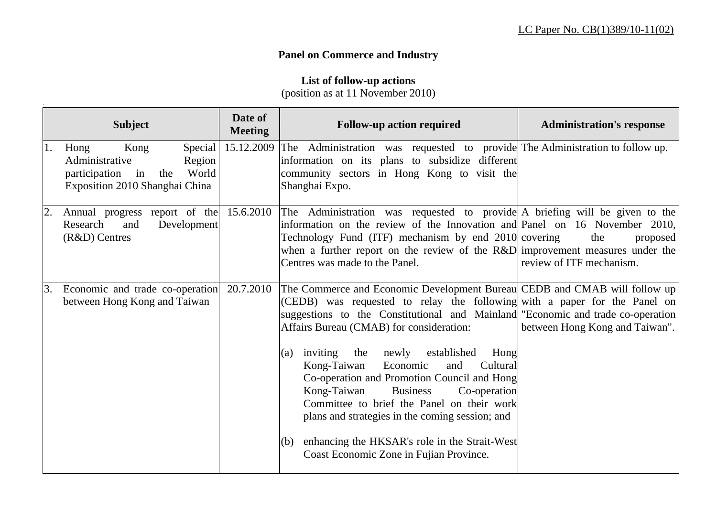## **Panel on Commerce and Industry**

## **List of follow-up actions**

(position as at 11 November 2010)

|                  | <b>Subject</b>                                                                                                               | Date of<br><b>Meeting</b> | <b>Follow-up action required</b>                                                                                                                                                                                                                                                                                                                                                                                                                                                                                                                                                                                                                                                                | <b>Administration's response</b>            |
|------------------|------------------------------------------------------------------------------------------------------------------------------|---------------------------|-------------------------------------------------------------------------------------------------------------------------------------------------------------------------------------------------------------------------------------------------------------------------------------------------------------------------------------------------------------------------------------------------------------------------------------------------------------------------------------------------------------------------------------------------------------------------------------------------------------------------------------------------------------------------------------------------|---------------------------------------------|
| 1.               | Kong<br>Special<br>Hong<br>Administrative<br>Region<br>World<br>in<br>participation<br>the<br>Exposition 2010 Shanghai China |                           | 15.12.2009 The Administration was requested to provide The Administration to follow up.<br>information on its plans to subsidize different<br>community sectors in Hong Kong to visit the<br>Shanghai Expo.                                                                                                                                                                                                                                                                                                                                                                                                                                                                                     |                                             |
| $\overline{2}$ . | Annual progress report of the 15.6.2010<br>Research<br>Development<br>and<br>$(R&D)$ Centres                                 |                           | The Administration was requested to provide A briefing will be given to the<br>information on the review of the Innovation and Panel on 16 November 2010,<br>Technology Fund (ITF) mechanism by end 2010 covering<br>when a further report on the review of the R&D improvement measures under the<br>Centres was made to the Panel.                                                                                                                                                                                                                                                                                                                                                            | the<br>proposed<br>review of ITF mechanism. |
| $\mathbf{3}$ .   | Economic and trade co-operation<br>between Hong Kong and Taiwan                                                              | 20.7.2010                 | The Commerce and Economic Development Bureau CEDB and CMAB will follow up<br>(CEDB) was requested to relay the following with a paper for the Panel on<br>suggestions to the Constitutional and Mainland "Economic and trade co-operation<br>Affairs Bureau (CMAB) for consideration:<br>inviting<br>newly established<br>the<br>Hong<br>(a)<br>and<br>Kong-Taiwan<br>Cultural<br>Economic<br>Co-operation and Promotion Council and Hong<br>Kong-Taiwan<br><b>Business</b><br>Co-operation<br>Committee to brief the Panel on their work<br>plans and strategies in the coming session; and<br>enhancing the HKSAR's role in the Strait-West<br>(b)<br>Coast Economic Zone in Fujian Province. | between Hong Kong and Taiwan".              |